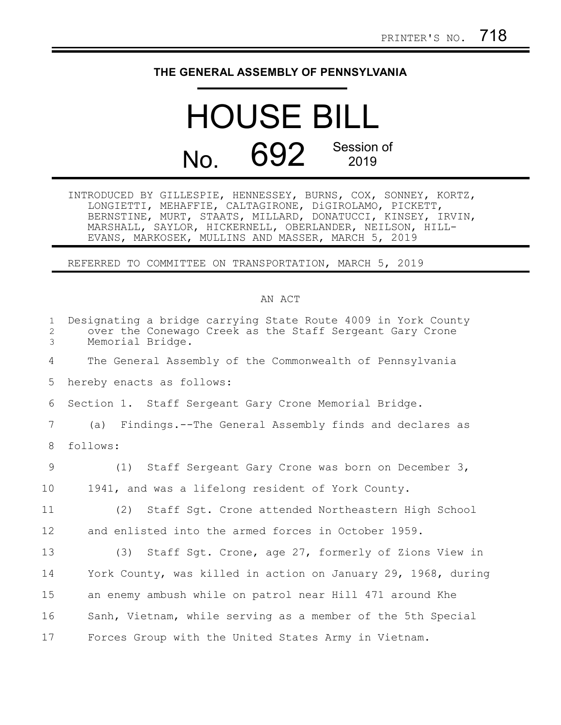## **THE GENERAL ASSEMBLY OF PENNSYLVANIA**

## HOUSE BILL No. 692 Session of

INTRODUCED BY GILLESPIE, HENNESSEY, BURNS, COX, SONNEY, KORTZ, LONGIETTI, MEHAFFIE, CALTAGIRONE, DiGIROLAMO, PICKETT, BERNSTINE, MURT, STAATS, MILLARD, DONATUCCI, KINSEY, IRVIN, MARSHALL, SAYLOR, HICKERNELL, OBERLANDER, NEILSON, HILL-EVANS, MARKOSEK, MULLINS AND MASSER, MARCH 5, 2019

REFERRED TO COMMITTEE ON TRANSPORTATION, MARCH 5, 2019

## AN ACT

| $\mathbf{1}$<br>$\overline{2}$<br>3 | Designating a bridge carrying State Route 4009 in York County<br>over the Conewago Creek as the Staff Sergeant Gary Crone<br>Memorial Bridge. |
|-------------------------------------|-----------------------------------------------------------------------------------------------------------------------------------------------|
| 4                                   | The General Assembly of the Commonwealth of Pennsylvania                                                                                      |
| 5                                   | hereby enacts as follows:                                                                                                                     |
| 6                                   | Section 1. Staff Sergeant Gary Crone Memorial Bridge.                                                                                         |
| 7                                   | (a) Findings.--The General Assembly finds and declares as                                                                                     |
| 8                                   | follows:                                                                                                                                      |
| $\overline{9}$                      | (1) Staff Sergeant Gary Crone was born on December 3,                                                                                         |
| 10                                  | 1941, and was a lifelong resident of York County.                                                                                             |
| 11                                  | (2) Staff Sgt. Crone attended Northeastern High School                                                                                        |
| 12                                  | and enlisted into the armed forces in October 1959.                                                                                           |
| 13                                  | (3) Staff Sgt. Crone, age 27, formerly of Zions View in                                                                                       |
| 14                                  | York County, was killed in action on January 29, 1968, during                                                                                 |
| 15                                  | an enemy ambush while on patrol near Hill 471 around Khe                                                                                      |
| 16                                  | Sanh, Vietnam, while serving as a member of the 5th Special                                                                                   |
| 17                                  | Forces Group with the United States Army in Vietnam.                                                                                          |
|                                     |                                                                                                                                               |